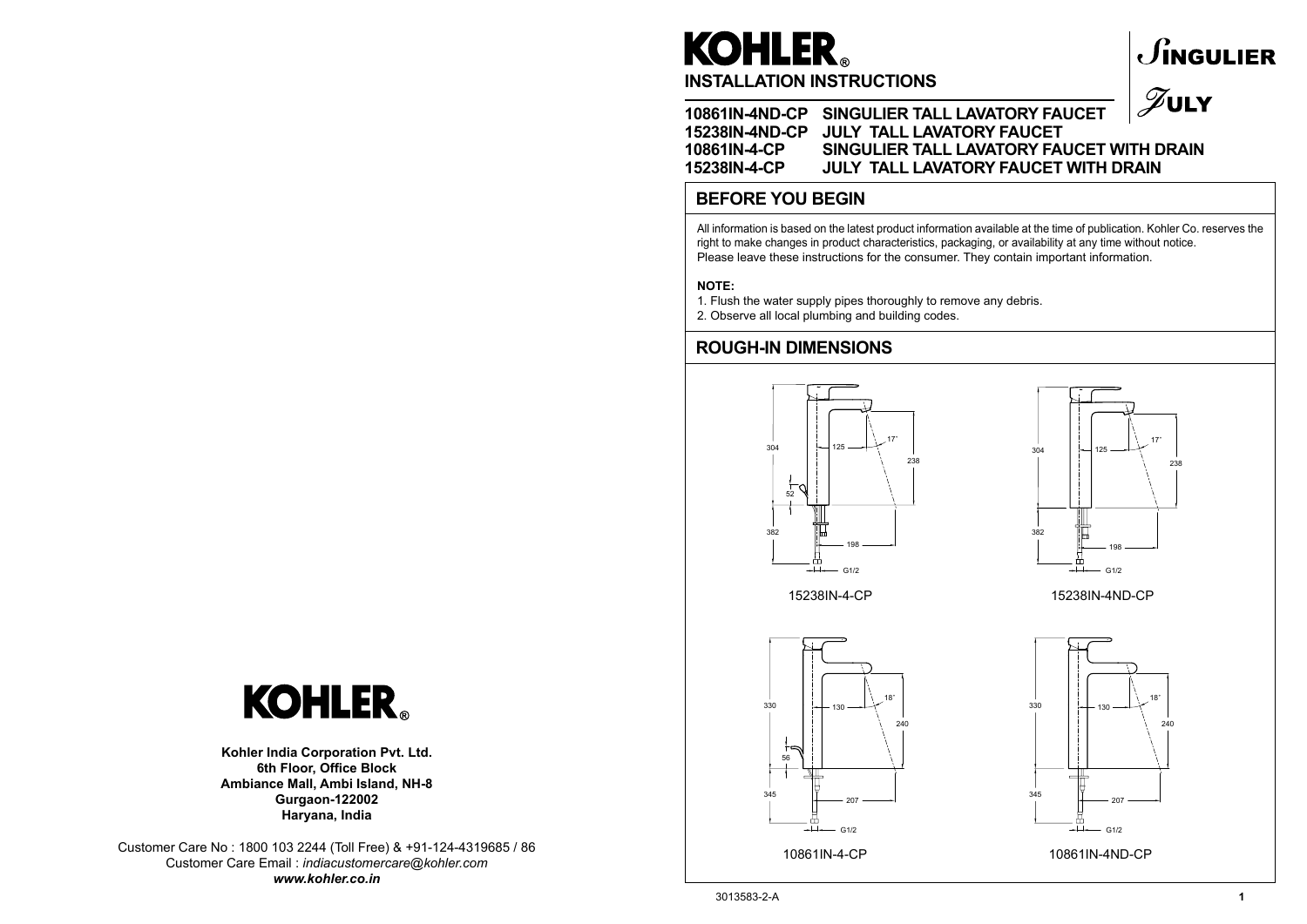### **BEFORE YOU BEGIN**

## **ROUGH-IN DIMENSIONS**

All information is based on the latest product information available at the time of publication. Kohler Co. reserves the right to make changes in product characteristics, packaging, or availability at any time without notice. Please leave these instructions for the consumer. They contain important information.

#### **NOTE:**

- 1. Flush the water supply pipes thoroughly to remove any debris.
- 2. Observe all local plumbing and building codes.

# **KOHLER INSTALLATION INSTRUCTIONS**

|                       | 10861IN-4ND-CP SINGULIER TALL LAV |
|-----------------------|-----------------------------------|
| <b>15238IN-4ND-CP</b> | <b>JULY TALL LAVATOR</b>          |
| 10861IN-4-CP          | <b>SINGULIER TALL LAV</b>         |
| 15238IN-4-CP          | <b>JULY TALL LAVATOR</b>          |



### **723 Y FAUCET WITH DRAIN IATORY FAUCET RY FAUCET 10861 VATORY FAUCET WITH DRAIN**

**Kohler India Corporation Pvt. Ltd. 6th Floor, Office Block Ambiance Mall, Ambi Island, NH-8 Gurgaon-122002 Haryana, India**

Customer Care No : 1800 103 2244 (Toll Free) & +91-124-4319685 / 86 Customer Care Email : *indiacustomercare@kohler.com www.kohler.co.in*